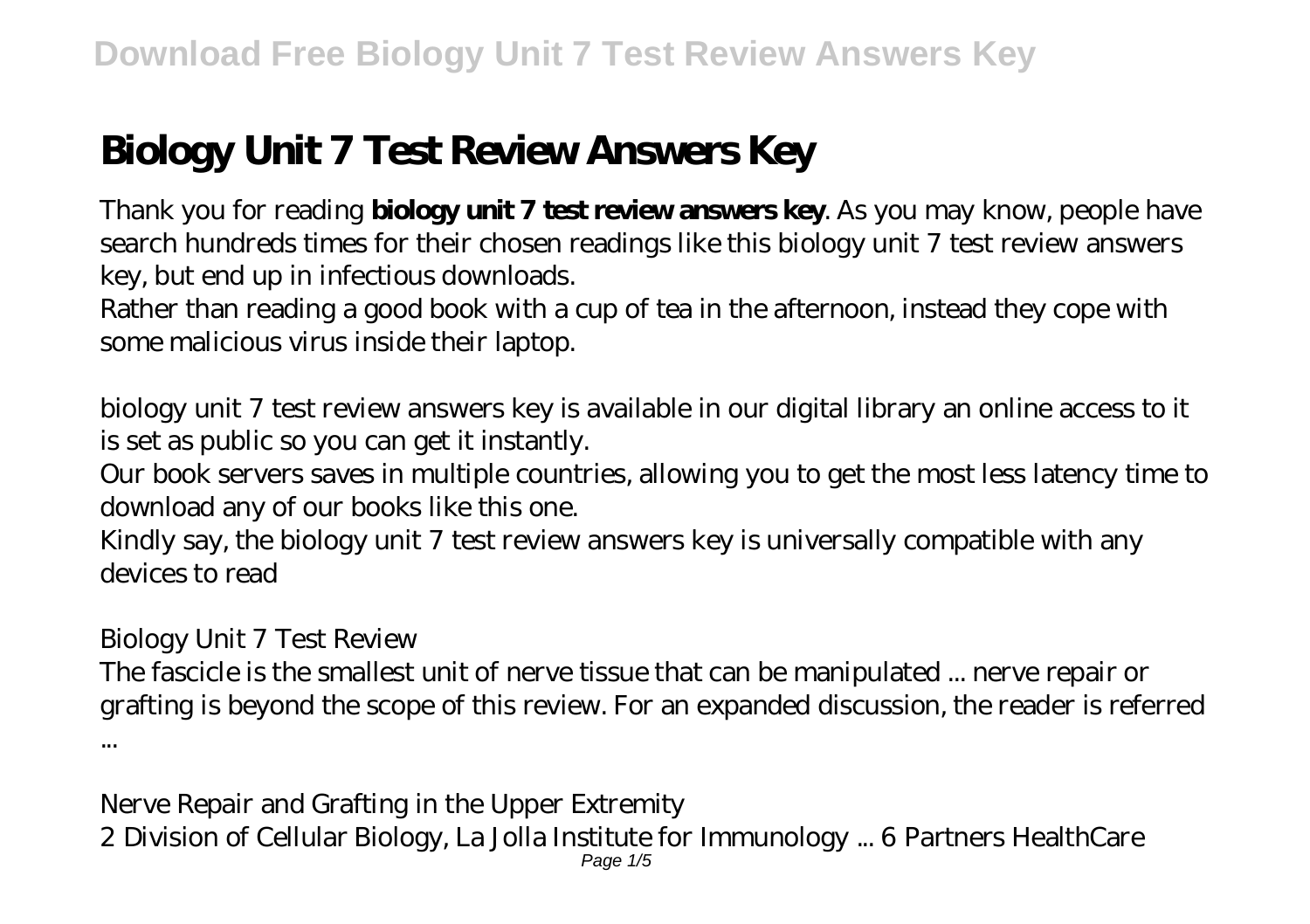# **Biology Unit 7 Test Review Answers Key**

Thank you for reading **biology unit 7 test review answers key**. As you may know, people have search hundreds times for their chosen readings like this biology unit 7 test review answers key, but end up in infectious downloads.

Rather than reading a good book with a cup of tea in the afternoon, instead they cope with some malicious virus inside their laptop.

biology unit 7 test review answers key is available in our digital library an online access to it is set as public so you can get it instantly.

Our book servers saves in multiple countries, allowing you to get the most less latency time to download any of our books like this one.

Kindly say, the biology unit 7 test review answers key is universally compatible with any devices to read

## *Biology Unit 7 Test Review*

The fascicle is the smallest unit of nerve tissue that can be manipulated ... nerve repair or grafting is beyond the scope of this review. For an expanded discussion, the reader is referred ...

*Nerve Repair and Grafting in the Upper Extremity* 2 Division of Cellular Biology, La Jolla Institute for Immunology ... 6 Partners HealthCare Page 1/5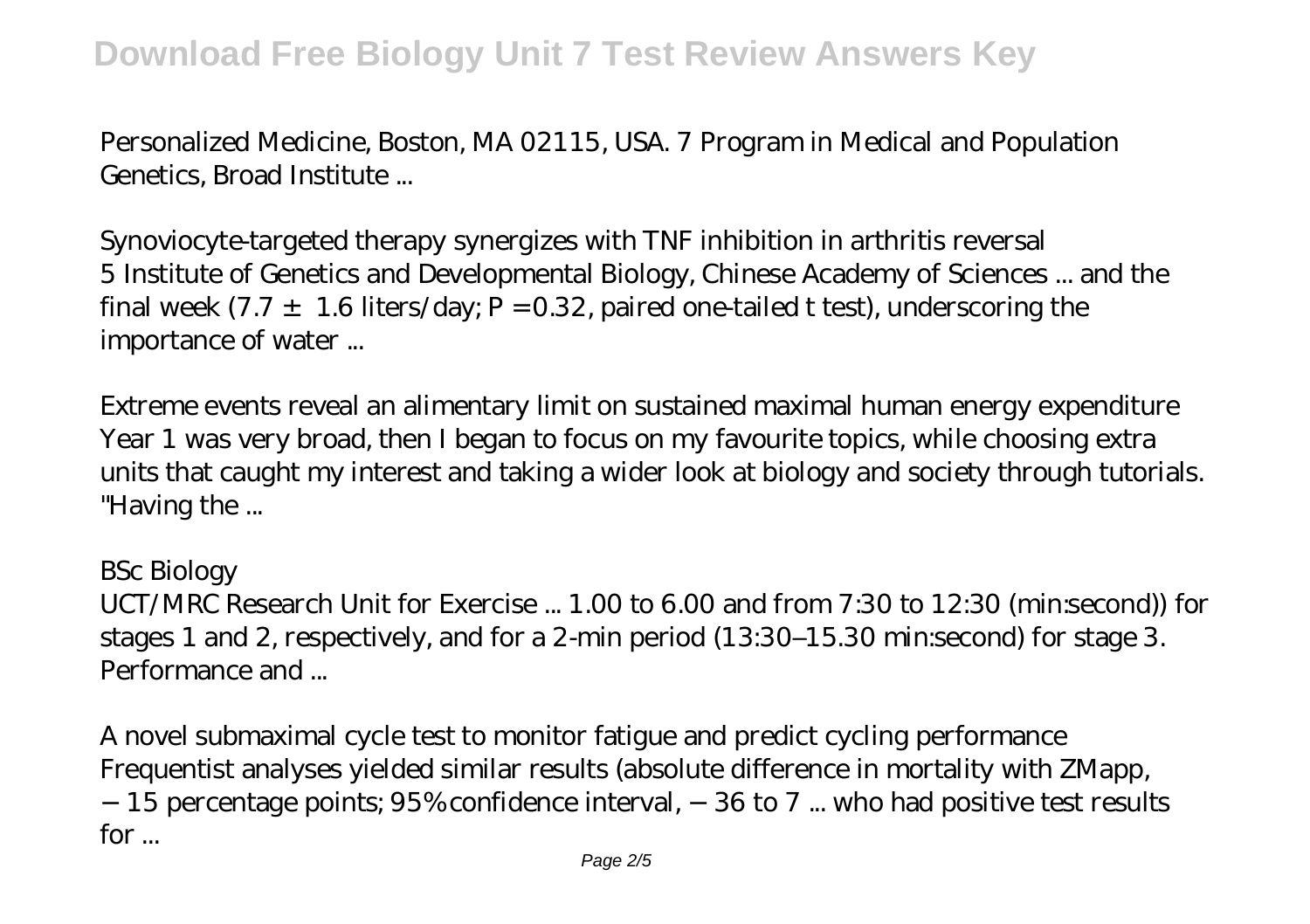# **Download Free Biology Unit 7 Test Review Answers Key**

Personalized Medicine, Boston, MA 02115, USA. 7 Program in Medical and Population Genetics, Broad Institute ...

*Synoviocyte-targeted therapy synergizes with TNF inhibition in arthritis reversal* 5 Institute of Genetics and Developmental Biology, Chinese Academy of Sciences ... and the final week  $(7.7 \pm 1.6$  liters/day; P = 0.32, paired one-tailed t test), underscoring the importance of water ...

*Extreme events reveal an alimentary limit on sustained maximal human energy expenditure* Year 1 was very broad, then I began to focus on my favourite topics, while choosing extra units that caught my interest and taking a wider look at biology and society through tutorials. "Having the ...

#### *BSc Biology*

UCT/MRC Research Unit for Exercise ... 1.00 to 6.00 and from 7:30 to 12:30 (min:second)) for stages 1 and 2, respectively, and for a 2-min period (13:30–15.30 min:second) for stage 3. Performance and ...

*A novel submaximal cycle test to monitor fatigue and predict cycling performance* Frequentist analyses yielded similar results (absolute difference in mortality with ZMapp, −15 percentage points; 95% confidence interval, −36 to 7 ... who had positive test results for ...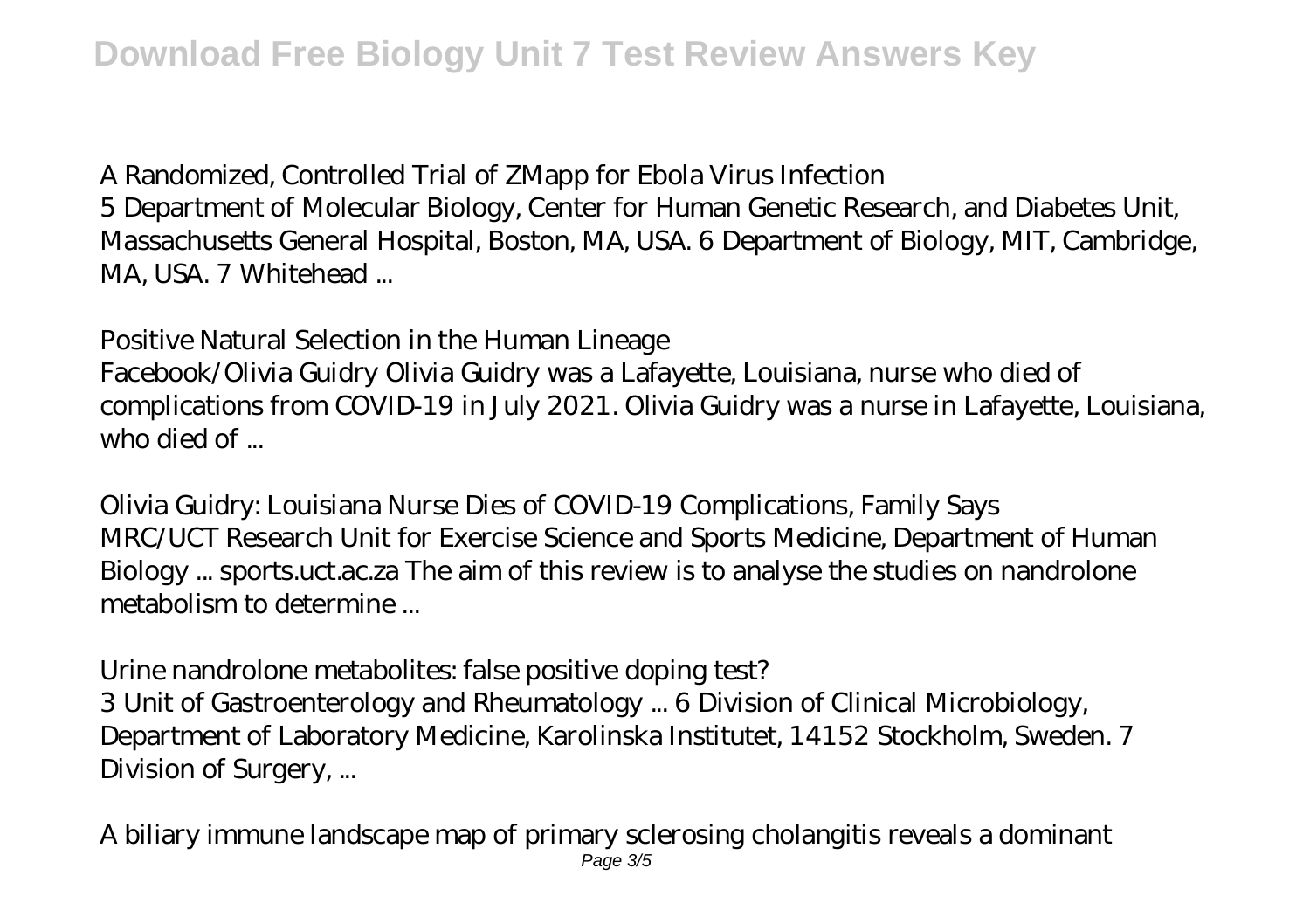### *A Randomized, Controlled Trial of ZMapp for Ebola Virus Infection*

5 Department of Molecular Biology, Center for Human Genetic Research, and Diabetes Unit, Massachusetts General Hospital, Boston, MA, USA. 6 Department of Biology, MIT, Cambridge, MA, USA. 7 Whitehead ...

#### *Positive Natural Selection in the Human Lineage*

Facebook/Olivia Guidry Olivia Guidry was a Lafayette, Louisiana, nurse who died of complications from COVID-19 in July 2021. Olivia Guidry was a nurse in Lafayette, Louisiana, who died of ...

*Olivia Guidry: Louisiana Nurse Dies of COVID-19 Complications, Family Says* MRC/UCT Research Unit for Exercise Science and Sports Medicine, Department of Human Biology ... sports.uct.ac.za The aim of this review is to analyse the studies on nandrolone metabolism to determine ...

#### *Urine nandrolone metabolites: false positive doping test?*

3 Unit of Gastroenterology and Rheumatology ... 6 Division of Clinical Microbiology, Department of Laboratory Medicine, Karolinska Institutet, 14152 Stockholm, Sweden. 7 Division of Surgery, ...

*A biliary immune landscape map of primary sclerosing cholangitis reveals a dominant* Page 3/5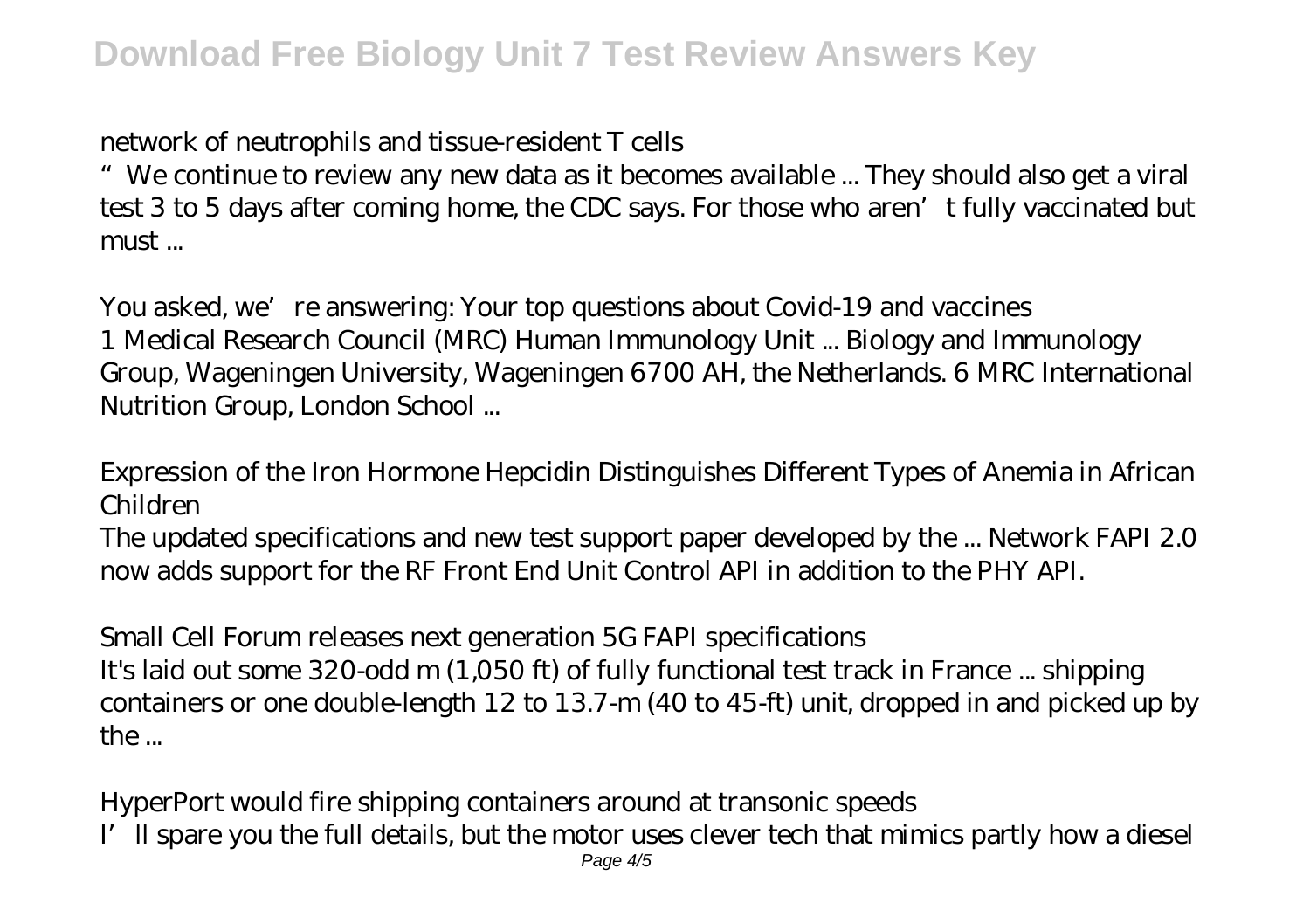## *network of neutrophils and tissue-resident T cells*

"We continue to review any new data as it becomes available ... They should also get a viral test 3 to 5 days after coming home, the CDC says. For those who aren't fully vaccinated but must ...

*You asked, we're answering: Your top questions about Covid-19 and vaccines* 1 Medical Research Council (MRC) Human Immunology Unit ... Biology and Immunology Group, Wageningen University, Wageningen 6700 AH, the Netherlands. 6 MRC International Nutrition Group, London School ...

## *Expression of the Iron Hormone Hepcidin Distinguishes Different Types of Anemia in African Children*

The updated specifications and new test support paper developed by the ... Network FAPI 2.0 now adds support for the RF Front End Unit Control API in addition to the PHY API.

# *Small Cell Forum releases next generation 5G FAPI specifications*

It's laid out some 320-odd m (1,050 ft) of fully functional test track in France ... shipping containers or one double-length 12 to 13.7-m (40 to 45-ft) unit, dropped in and picked up by  $the...$ 

*HyperPort would fire shipping containers around at transonic speeds* I'll spare you the full details, but the motor uses clever tech that mimics partly how a diesel Page  $4/5$